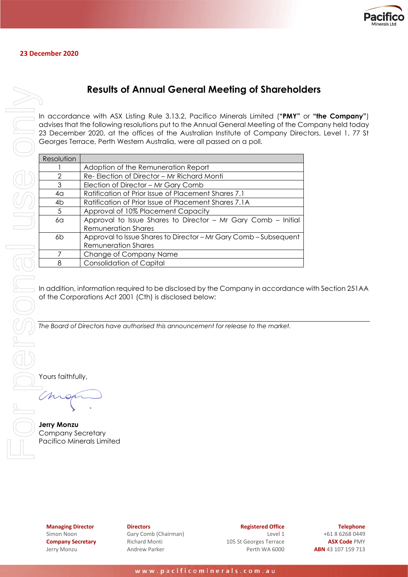

## **Results of Annual General Meeting of Shareholders**

In accordance with ASX Listing Rule 3.13.2, Pacifico Minerals Limited (**"PMY"** or **"the Company"**) advises that the following resolutions put to the Annual General Meeting of the Company held today 23 December 2020, at the offices of the Australian Institute of Company Directors, Level 1, 77 St Georges Terrace, Perth Western Australia, were all passed on a poll.

|                                                | <b>Results of Annual General Meeting of Sharehold</b>                                                                                                                                                                                                                                                                       |  |  |  |  |  |  |  |  |
|------------------------------------------------|-----------------------------------------------------------------------------------------------------------------------------------------------------------------------------------------------------------------------------------------------------------------------------------------------------------------------------|--|--|--|--|--|--|--|--|
|                                                | In accordance with ASX Listing Rule 3.13.2, Pacifico Minerals Limited ("PMY"<br>advises that the following resolutions put to the Annual General Meeting of the Co<br>23 December 2020, at the offices of the Australian Institute of Company Direa<br>Georges Terrace, Perth Western Australia, were all passed on a poll. |  |  |  |  |  |  |  |  |
|                                                |                                                                                                                                                                                                                                                                                                                             |  |  |  |  |  |  |  |  |
| Resolution                                     |                                                                                                                                                                                                                                                                                                                             |  |  |  |  |  |  |  |  |
|                                                | Adoption of the Remuneration Report                                                                                                                                                                                                                                                                                         |  |  |  |  |  |  |  |  |
| $\overline{2}$                                 | Re- Election of Director - Mr Richard Monti                                                                                                                                                                                                                                                                                 |  |  |  |  |  |  |  |  |
| 3                                              | Election of Director - Mr Gary Comb                                                                                                                                                                                                                                                                                         |  |  |  |  |  |  |  |  |
| 4 <sub>G</sub>                                 | Ratification of Prior Issue of Placement Shares 7.1                                                                                                                                                                                                                                                                         |  |  |  |  |  |  |  |  |
| 4 <sub>b</sub>                                 | Ratification of Prior Issue of Placement Shares 7.1A                                                                                                                                                                                                                                                                        |  |  |  |  |  |  |  |  |
| 5                                              | Approval of 10% Placement Capacity                                                                                                                                                                                                                                                                                          |  |  |  |  |  |  |  |  |
| 60                                             | Approval to Issue Shares to Director - Mr Gary Comb - Initial                                                                                                                                                                                                                                                               |  |  |  |  |  |  |  |  |
|                                                | <b>Remuneration Shares</b>                                                                                                                                                                                                                                                                                                  |  |  |  |  |  |  |  |  |
| 6b                                             | Approval to Issue Shares to Director - Mr Gary Comb - Subsequent                                                                                                                                                                                                                                                            |  |  |  |  |  |  |  |  |
|                                                | <b>Remuneration Shares</b>                                                                                                                                                                                                                                                                                                  |  |  |  |  |  |  |  |  |
| 7<br>8                                         | Change of Company Name<br><b>Consolidation of Capital</b>                                                                                                                                                                                                                                                                   |  |  |  |  |  |  |  |  |
|                                                |                                                                                                                                                                                                                                                                                                                             |  |  |  |  |  |  |  |  |
|                                                | In addition, information required to be disclosed by the Company in accordance<br>of the Corporations Act 2001 (Cth) is disclosed below:                                                                                                                                                                                    |  |  |  |  |  |  |  |  |
|                                                | The Board of Directors have authorised this announcement for release to the market.                                                                                                                                                                                                                                         |  |  |  |  |  |  |  |  |
| Yours faithfully,                              |                                                                                                                                                                                                                                                                                                                             |  |  |  |  |  |  |  |  |
|                                                |                                                                                                                                                                                                                                                                                                                             |  |  |  |  |  |  |  |  |
| <b>Jerry Monzu</b><br><b>Company Secretary</b> | Pacifico Minerals Limited                                                                                                                                                                                                                                                                                                   |  |  |  |  |  |  |  |  |

In addition, information required to be disclosed by the Company in accordance with Section 251AA of the Corporations Act 2001 (Cth) is disclosed below:

**Jerry Monzu** Company Secretary

**Managing Director** Simon Noon **Company Secretary** Jerry Monzu

**Directors** Gary Comb (Chairman) Richard Monti Andrew Parker

**Registered Office** Level 1 105 St Georges Terrace Perth WA 6000

**Telephone** +61 8 6268 0449 **ASX Code** PMY **ABN** 43 107 159 713

www.pacificominerals.com.au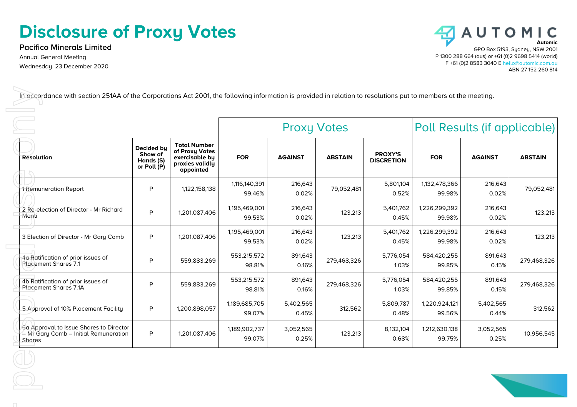## **Disclosure of Proxy Votes**

**Pacifico Minerals Limited** Annual General Meeting Wednesday, 23 December 2020



| <b>Total Number</b><br>Decided by<br>of Proxy Votes<br>Show of<br><b>PROXY'S</b><br><b>FOR</b><br><b>AGAINST</b><br><b>ABSTAIN</b><br><b>FOR</b><br><b>ABSTAIN</b><br>exercisable by<br><b>AGAINST</b><br>Hands (S)<br><b>DISCRETION</b><br>proxies validly<br>or Poll (P)<br>appointed<br>1,116,140,391<br>216,643<br>5,801,104<br>1,132,478,366<br>216,643<br>P<br>1,122,158,138<br>79,052,481<br>0.02%<br>0.52%<br>0.02%<br>99.46%<br>99.98%<br>1,195,469,001<br>1,226,299,392<br>216,643<br>5,401,762<br>216,643<br>P<br>1,201,087,406<br>123,213<br>0.02%<br>0.45%<br>0.02%<br>99.53%<br>99.98%<br>1,195,469,001<br>1,226,299,392<br>216,643<br>5,401,762<br>216,643<br>P<br>1,201,087,406<br>123,213<br>99.53%<br>0.02%<br>0.45%<br>99.98%<br>0.02%<br>553,215,572<br>5,776,054<br>584,420,255<br>891,643<br>891,643<br>P<br>559,883,269<br>279,468,326<br>98.81%<br>0.16%<br>1.03%<br>0.15%<br>99.85%<br>553,215,572<br>5,776,054<br>584,420,255<br>891,643<br>891,643<br>P<br>559,883,269<br>279,468,326<br>98.81%<br>0.16%<br>1.03%<br>99.85%<br>0.15%<br>1,189,685,705<br>5,402,565<br>5,809,787<br>1,220,924,121<br>5,402,565<br>P<br>1,200,898,057<br>312,562<br>99.07%<br>0.45%<br>0.48%<br>99.56%<br>0.44%<br>1,189,902,737<br>1,212,630,138<br>3,052,565<br>8,132,104<br>3,052,565<br>P<br>1,201,087,406<br>123,213 |                                                                   | <b>Proxy Votes</b> |        |       |  | Poll Results (if applicable) |        |       |             |
|------------------------------------------------------------------------------------------------------------------------------------------------------------------------------------------------------------------------------------------------------------------------------------------------------------------------------------------------------------------------------------------------------------------------------------------------------------------------------------------------------------------------------------------------------------------------------------------------------------------------------------------------------------------------------------------------------------------------------------------------------------------------------------------------------------------------------------------------------------------------------------------------------------------------------------------------------------------------------------------------------------------------------------------------------------------------------------------------------------------------------------------------------------------------------------------------------------------------------------------------------------------------------------------------------------------------------------|-------------------------------------------------------------------|--------------------|--------|-------|--|------------------------------|--------|-------|-------------|
| 1 Remuneration Report<br>2 Re-election of Director - Mr Richard<br>Monti<br>3 Election of Director - Mr Gary Comb                                                                                                                                                                                                                                                                                                                                                                                                                                                                                                                                                                                                                                                                                                                                                                                                                                                                                                                                                                                                                                                                                                                                                                                                                  | <b>Resolution</b>                                                 |                    |        |       |  |                              |        |       |             |
|                                                                                                                                                                                                                                                                                                                                                                                                                                                                                                                                                                                                                                                                                                                                                                                                                                                                                                                                                                                                                                                                                                                                                                                                                                                                                                                                    |                                                                   |                    |        |       |  |                              |        |       | 79,052,481  |
|                                                                                                                                                                                                                                                                                                                                                                                                                                                                                                                                                                                                                                                                                                                                                                                                                                                                                                                                                                                                                                                                                                                                                                                                                                                                                                                                    |                                                                   |                    |        |       |  |                              |        |       | 123,213     |
|                                                                                                                                                                                                                                                                                                                                                                                                                                                                                                                                                                                                                                                                                                                                                                                                                                                                                                                                                                                                                                                                                                                                                                                                                                                                                                                                    |                                                                   |                    |        |       |  |                              |        |       | 123,213     |
|                                                                                                                                                                                                                                                                                                                                                                                                                                                                                                                                                                                                                                                                                                                                                                                                                                                                                                                                                                                                                                                                                                                                                                                                                                                                                                                                    | 4a Ratification of prior issues of<br><b>Placement Shares 7.1</b> |                    |        |       |  |                              |        |       | 279,468,326 |
|                                                                                                                                                                                                                                                                                                                                                                                                                                                                                                                                                                                                                                                                                                                                                                                                                                                                                                                                                                                                                                                                                                                                                                                                                                                                                                                                    | 4b Ratification of prior issues of<br>Placement Shares 7.1A       |                    |        |       |  |                              |        |       | 279,468,326 |
| 6a Approval to Issue Shares to Director<br>- Mr Gary Comb - Initial Remuneration                                                                                                                                                                                                                                                                                                                                                                                                                                                                                                                                                                                                                                                                                                                                                                                                                                                                                                                                                                                                                                                                                                                                                                                                                                                   | 5 Approval of 10% Placement Facility                              |                    |        |       |  |                              |        |       | 312,562     |
|                                                                                                                                                                                                                                                                                                                                                                                                                                                                                                                                                                                                                                                                                                                                                                                                                                                                                                                                                                                                                                                                                                                                                                                                                                                                                                                                    | Shares                                                            |                    | 99.07% | 0.25% |  | 0.68%                        | 99.75% | 0.25% | 10,956,545  |
|                                                                                                                                                                                                                                                                                                                                                                                                                                                                                                                                                                                                                                                                                                                                                                                                                                                                                                                                                                                                                                                                                                                                                                                                                                                                                                                                    |                                                                   |                    |        |       |  |                              |        |       |             |